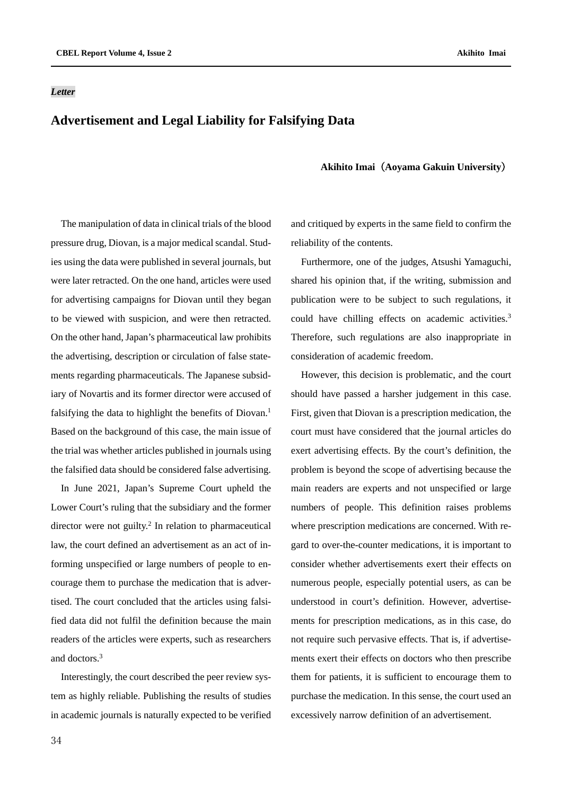#### *Letter*

# **Advertisement and Legal Liability for Falsifying Data**

### **Akihito Imai**(**Aoyama Gakuin University**)

The manipulation of data in clinical trials of the blood pressure drug, Diovan, is a major medical scandal. Studies using the data were published in several journals, but were later retracted. On the one hand, articles were used for advertising campaigns for Diovan until they began to be viewed with suspicion, and were then retracted. On the other hand, Japan's pharmaceutical law prohibits the advertising, description or circulation of false statements regarding pharmaceuticals. The Japanese subsidiary of Novartis and its former director were accused of falsifying the data to highlight the benefits of Diovan.<sup>1</sup> Based on the background of this case, the main issue of the trial was whether articles published in journals using the falsified data should be considered false advertising.

In June 2021, Japan's Supreme Court upheld the Lower Court's ruling that the subsidiary and the former director were not guilty.2 In relation to pharmaceutical law, the court defined an advertisement as an act of informing unspecified or large numbers of people to encourage them to purchase the medication that is advertised. The court concluded that the articles using falsified data did not fulfil the definition because the main readers of the articles were experts, such as researchers and doctors.3

Interestingly, the court described the peer review system as highly reliable. Publishing the results of studies in academic journals is naturally expected to be verified and critiqued by experts in the same field to confirm the reliability of the contents.

Furthermore, one of the judges, Atsushi Yamaguchi, shared his opinion that, if the writing, submission and publication were to be subject to such regulations, it could have chilling effects on academic activities.3 Therefore, such regulations are also inappropriate in consideration of academic freedom.

However, this decision is problematic, and the court should have passed a harsher judgement in this case. First, given that Diovan is a prescription medication, the court must have considered that the journal articles do exert advertising effects. By the court's definition, the problem is beyond the scope of advertising because the main readers are experts and not unspecified or large numbers of people. This definition raises problems where prescription medications are concerned. With regard to over-the-counter medications, it is important to consider whether advertisements exert their effects on numerous people, especially potential users, as can be understood in court's definition. However, advertisements for prescription medications, as in this case, do not require such pervasive effects. That is, if advertisements exert their effects on doctors who then prescribe them for patients, it is sufficient to encourage them to purchase the medication. In this sense, the court used an excessively narrow definition of an advertisement.